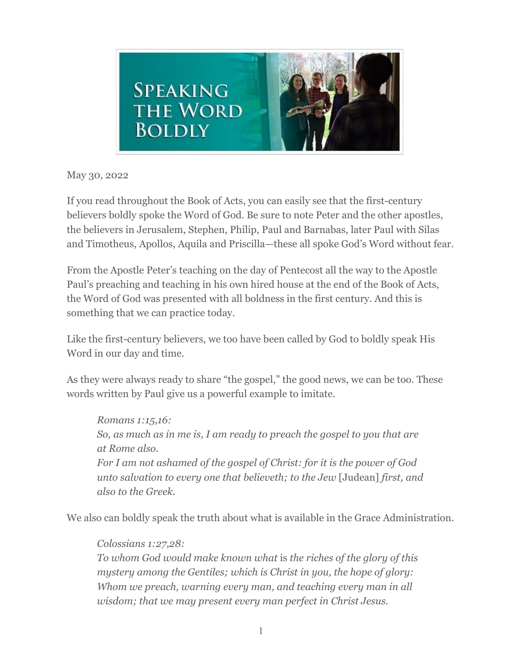

May 30, 2022

If you read throughout the Book of Acts, you can easily see that the first-century believers boldly spoke the Word of God. Be sure to note Peter and the other apostles, the believers in Jerusalem, Stephen, Philip, Paul and Barnabas, later Paul with Silas and Timotheus, Apollos, Aquila and Priscilla—these all spoke God's Word without fear.

From the Apostle Peter's teaching on the day of Pentecost all the way to the Apostle Paul's preaching and teaching in his own hired house at the end of the Book of Acts, the Word of God was presented with all boldness in the first century. And this is something that we can practice today.

Like the first-century believers, we too have been called by God to boldly speak His Word in our day and time.

As they were always ready to share "the gospel," the good news, we can be too. These words written by Paul give us a powerful example to imitate.

*Romans 1:15,16: So, as much as in me is, I am ready to preach the gospel to you that are at Rome also. For I am not ashamed of the gospel of Christ: for it is the power of God unto salvation to every one that believeth; to the Jew* [Judean] *first, and also to the Greek.*

We also can boldly speak the truth about what is available in the Grace Administration.

## *Colossians 1:27,28:*

*To whom God would make known what* is *the riches of the glory of this mystery among the Gentiles; which is Christ in you, the hope of glory: Whom we preach, warning every man, and teaching every man in all wisdom; that we may present every man perfect in Christ Jesus.*